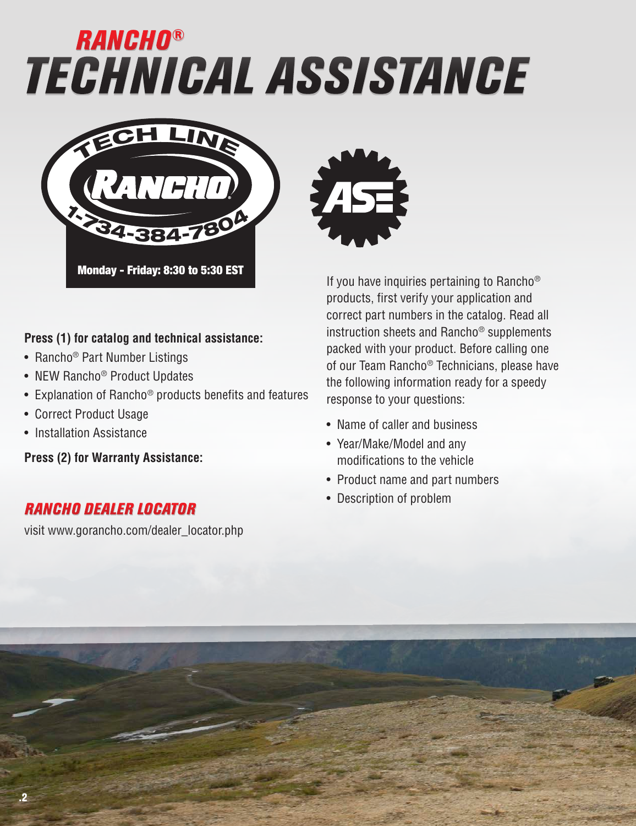# *TECHNICAL ASSISTANCE RANCHO®*



#### **Press (1) for catalog and technical assistance:**

- Rancho<sup>®</sup> Part Number Listings
- NEW Rancho<sup>®</sup> Product Updates
- Explanation of Rancho® products benefits and features
- Correct Product Usage
- Installation Assistance

**Press (2) for Warranty Assistance:**

#### *RANCHO DEALER LOCATOR*

visit www.gorancho.com/dealer\_locator.php



If you have inquiries pertaining to Rancho<sup>®</sup> products, first verify your application and correct part numbers in the catalog. Read all instruction sheets and Rancho® supplements packed with your product. Before calling one of our Team Rancho® Technicians, please have the following information ready for a speedy response to your questions:

- Name of caller and business
- Year/Make/Model and any modifications to the vehicle
- Product name and part numbers
- Description of problem

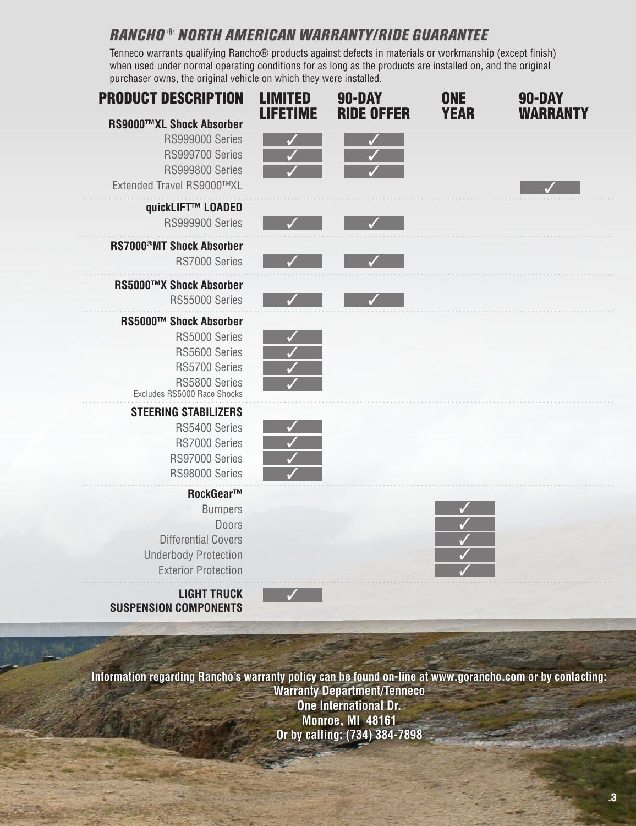### *RANCHO ® NORTH AMERICAN WARRANTY/RIDE GUARANTEE*

Tenneco warrants qualifying Rancho® products against defects in materials or workmanship (except finish) when used under normal operating conditions for as long as the products are installed on, and the original purchaser owns, the original vehicle on which they were installed.